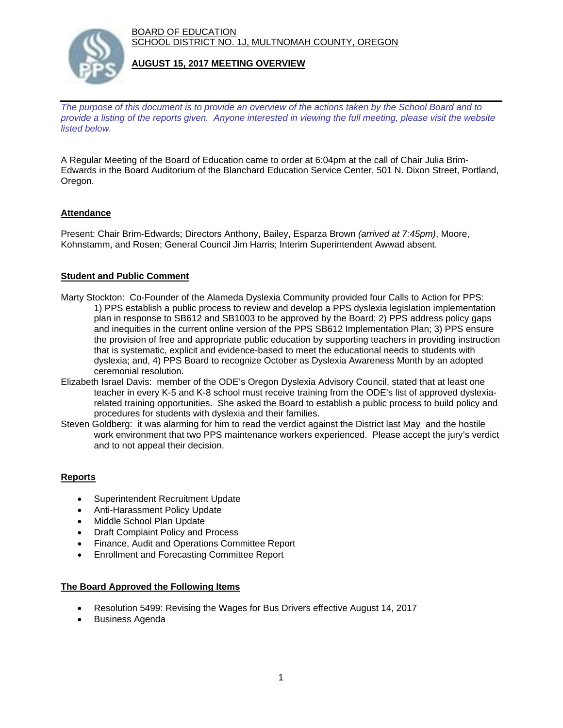BOARD OF EDUCATION SCHOOL DISTRICT NO. 1J, MULTNOMAH COUNTY, OREGON



#### **AUGUST 15, 2017 MEETING OVERVIEW**

*The purpose of this document is to provide an overview of the actions taken by the School Board and to provide a listing of the reports given. Anyone interested in viewing the full meeting, please visit the website listed below.*

A Regular Meeting of the Board of Education came to order at 6:04pm at the call of Chair Julia Brim-Edwards in the Board Auditorium of the Blanchard Education Service Center, 501 N. Dixon Street, Portland, Oregon.

## **Attendance**

Present: Chair Brim-Edwards; Directors Anthony, Bailey, Esparza Brown *(arrived at 7:45pm)*, Moore, Kohnstamm, and Rosen; General Council Jim Harris; Interim Superintendent Awwad absent.

#### **Student and Public Comment**

- Marty Stockton: Co-Founder of the Alameda Dyslexia Community provided four Calls to Action for PPS: 1) PPS establish a public process to review and develop a PPS dyslexia legislation implementation plan in response to SB612 and SB1003 to be approved by the Board; 2) PPS address policy gaps and inequities in the current online version of the PPS SB612 Implementation Plan; 3) PPS ensure the provision of free and appropriate public education by supporting teachers in providing instruction that is systematic, explicit and evidence-based to meet the educational needs to students with dyslexia; and, 4) PPS Board to recognize October as Dyslexia Awareness Month by an adopted ceremonial resolution.
- Elizabeth Israel Davis: member of the ODE's Oregon Dyslexia Advisory Council, stated that at least one teacher in every K-5 and K-8 school must receive training from the ODE's list of approved dyslexiarelated training opportunities. She asked the Board to establish a public process to build policy and procedures for students with dyslexia and their families.
- Steven Goldberg: it was alarming for him to read the verdict against the District last May and the hostile work environment that two PPS maintenance workers experienced. Please accept the jury's verdict and to not appeal their decision.

## **Reports**

- Superintendent Recruitment Update
- Anti-Harassment Policy Update
- Middle School Plan Update
- Draft Complaint Policy and Process
- Finance, Audit and Operations Committee Report
- Enrollment and Forecasting Committee Report

#### **The Board Approved the Following Items**

- Resolution 5499: Revising the Wages for Bus Drivers effective August 14, 2017
- Business Agenda